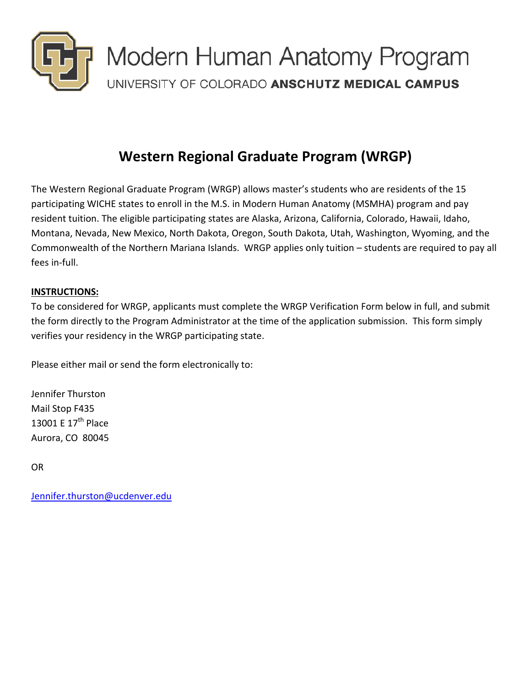

## **Western Regional Graduate Program (WRGP)**

The Western Regional Graduate Program (WRGP) allows master's students who are residents of the 15 participating WICHE states to enroll in the M.S. in Modern Human Anatomy (MSMHA) program and pay resident tuition. The eligible participating states are Alaska, Arizona, California, Colorado, Hawaii, Idaho, Montana, Nevada, New Mexico, North Dakota, Oregon, South Dakota, Utah, Washington, Wyoming, and the Commonwealth of the Northern Mariana Islands. WRGP applies only tuition – students are required to pay all fees in-full.

## **INSTRUCTIONS:**

To be considered for WRGP, applicants must complete the WRGP Verification Form below in full, and submit the form directly to the Program Administrator at the time of the application submission. This form simply verifies your residency in the WRGP participating state.

Please either mail or send the form electronically to:

Jennifer Thurston Mail Stop F435 13001 E 17<sup>th</sup> Place Aurora, CO 80045

OR

[Jennifer.thurston@ucdenver.edu](mailto:Jennifer.thurston@ucdenver.edu)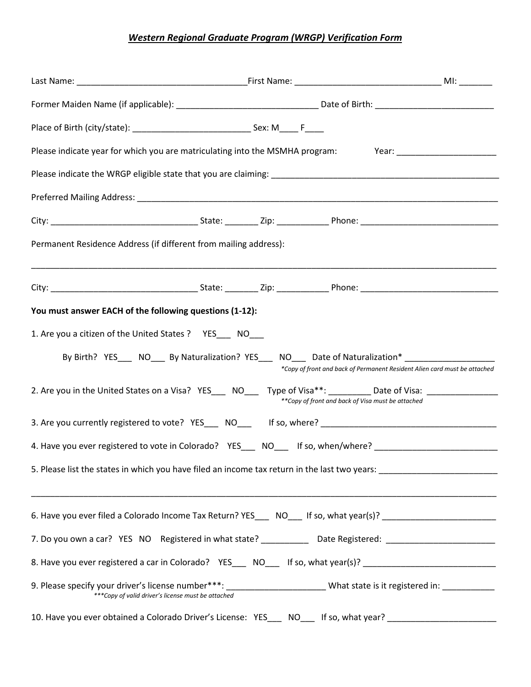## *Western Regional Graduate Program (WRGP) Verification Form*

|                                                                  | Please indicate year for which you are matriculating into the MSMHA program: Year: _________________           |                                                                           |
|------------------------------------------------------------------|----------------------------------------------------------------------------------------------------------------|---------------------------------------------------------------------------|
|                                                                  |                                                                                                                |                                                                           |
|                                                                  |                                                                                                                |                                                                           |
|                                                                  |                                                                                                                |                                                                           |
| Permanent Residence Address (if different from mailing address): |                                                                                                                |                                                                           |
|                                                                  |                                                                                                                |                                                                           |
| You must answer EACH of the following questions (1-12):          |                                                                                                                |                                                                           |
| 1. Are you a citizen of the United States ? YES___ NO___         |                                                                                                                |                                                                           |
|                                                                  | By Birth? YES____ NO____ By Naturalization? YES____ NO____ Date of Naturalization* ________________            | *Copy of front and back of Permanent Resident Alien card must be attached |
|                                                                  | 2. Are you in the United States on a Visa? YES___ NO___ Type of Visa**: ________ Date of Visa: ______________  | **Copy of front and back of Visa must be attached                         |
|                                                                  |                                                                                                                |                                                                           |
|                                                                  | 4. Have you ever registered to vote in Colorado? YES____ NO___ If so, when/where? ________________________     |                                                                           |
|                                                                  |                                                                                                                |                                                                           |
|                                                                  | 6. Have you ever filed a Colorado Income Tax Return? YES___ NO___ If so, what year(s)? _______________________ |                                                                           |
|                                                                  | 7. Do you own a car? YES NO Registered in what state? ____________ Date Registered: __________________________ |                                                                           |
|                                                                  | 8. Have you ever registered a car in Colorado? YES___ NO___ If so, what year(s)? _________________________     |                                                                           |
|                                                                  | *** Copy of valid driver's license must be attached                                                            |                                                                           |
|                                                                  | 10. Have you ever obtained a Colorado Driver's License: YES____ NO___ If so, what year? __________________     |                                                                           |